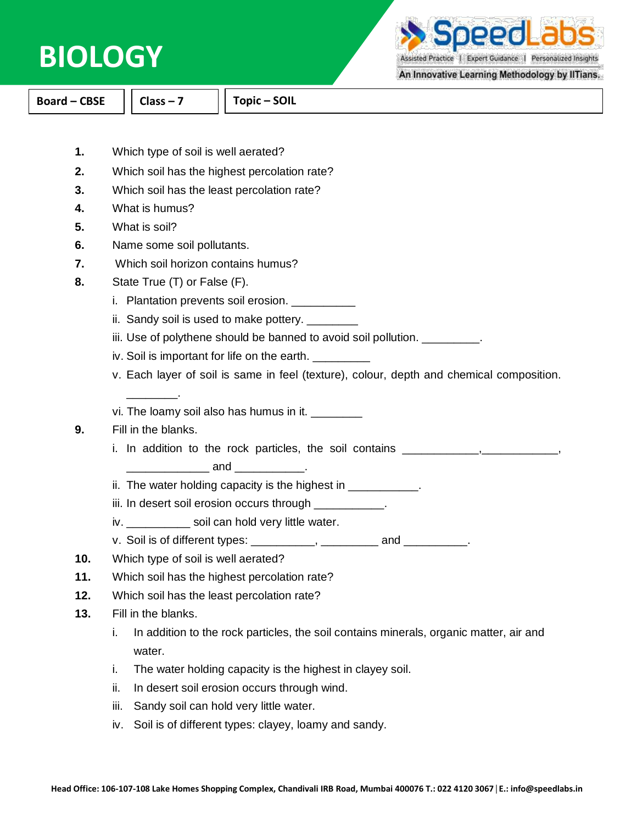

**Ihaa** 

Assisted Practice | Expert Guidance | Personalized Insights

## An Innovative Learning Methodology by IITians.

**Board – CBSE Class – 7 Topic – SOIL**

- **1.** Which type of soil is well aerated?
- **2.** Which soil has the highest percolation rate?
- **3.** Which soil has the least percolation rate?
- **4.** What is humus?
- **5.** What is soil?
- **6.** Name some soil pollutants.
- **7.** Which soil horizon contains humus?
- **8.** State True (T) or False (F).
	- i. Plantation prevents soil erosion. \_\_\_\_\_\_\_\_\_\_\_
	- ii. Sandy soil is used to make pottery. \_\_\_\_\_\_\_\_
	- iii. Use of polythene should be banned to avoid soil pollution. \_\_\_\_\_\_\_\_\_.
	- iv. Soil is important for life on the earth.
	- v. Each layer of soil is same in feel (texture), colour, depth and chemical composition.
	- vi. The loamy soil also has humus in it.

## **9.** Fill in the blanks.

\_\_\_\_\_\_\_\_.

i. In addition to the rock particles, the soil contains \_\_\_\_\_\_\_\_\_\_\_\_\_\_\_\_\_\_\_\_\_\_\_\_,

\_\_\_\_\_\_\_\_\_\_\_\_\_ and \_\_\_\_\_\_\_\_\_\_\_.

- ii. The water holding capacity is the highest in  $\blacksquare$
- iii. In desert soil erosion occurs through **with the set of the set of the set of the set of the set of the set**
- iv. soil can hold very little water.
- v. Soil is of different types: \_\_\_\_\_\_\_\_\_\_, \_\_\_\_\_\_\_\_\_ and \_\_\_\_\_\_\_\_\_\_.
- **10.** Which type of soil is well aerated?
- **11.** Which soil has the highest percolation rate?
- **12.** Which soil has the least percolation rate?
- **13.** Fill in the blanks.
	- i. In addition to the rock particles, the soil contains minerals, organic matter, air and water.
	- i. The water holding capacity is the highest in clayey soil.
	- ii. In desert soil erosion occurs through wind.
	- iii. Sandy soil can hold very little water.
	- iv. Soil is of different types: clayey, loamy and sandy.